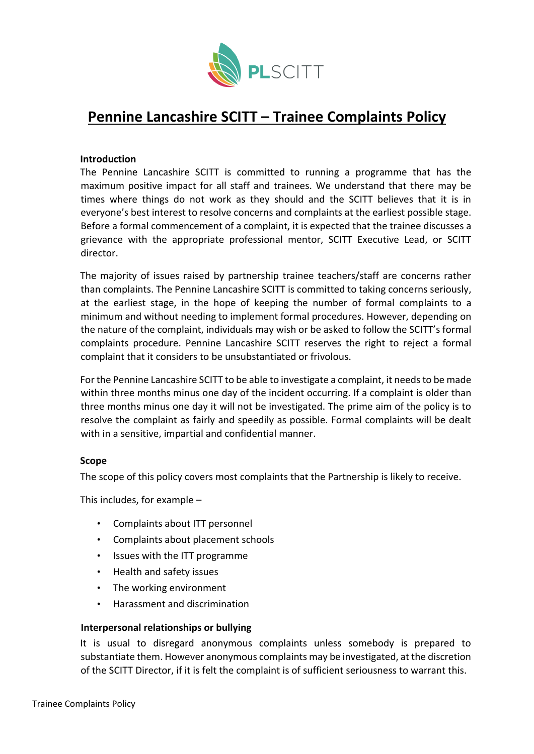

# **Pennine Lancashire SCITT – Trainee Complaints Policy**

### **Introduction**

The Pennine Lancashire SCITT is committed to running a programme that has the maximum positive impact for all staff and trainees. We understand that there may be times where things do not work as they should and the SCITT believes that it is in everyone's best interest to resolve concerns and complaints at the earliest possible stage. Before a formal commencement of a complaint, it is expected that the trainee discusses a grievance with the appropriate professional mentor, SCITT Executive Lead, or SCITT director.

The majority of issues raised by partnership trainee teachers/staff are concerns rather than complaints. The Pennine Lancashire SCITT is committed to taking concerns seriously, at the earliest stage, in the hope of keeping the number of formal complaints to a minimum and without needing to implement formal procedures. However, depending on the nature of the complaint, individuals may wish or be asked to follow the SCITT's formal complaints procedure. Pennine Lancashire SCITT reserves the right to reject a formal complaint that it considers to be unsubstantiated or frivolous.

For the Pennine Lancashire SCITT to be able to investigate a complaint, it needs to be made within three months minus one day of the incident occurring. If a complaint is older than three months minus one day it will not be investigated. The prime aim of the policy is to resolve the complaint as fairly and speedily as possible. Formal complaints will be dealt with in a sensitive, impartial and confidential manner.

### **Scope**

The scope of this policy covers most complaints that the Partnership is likely to receive.

This includes, for example –

- Complaints about ITT personnel
- Complaints about placement schools
- Issues with the ITT programme
- Health and safety issues
- The working environment
- Harassment and discrimination

### **Interpersonal relationships or bullying**

It is usual to disregard anonymous complaints unless somebody is prepared to substantiate them. However anonymous complaints may be investigated, at the discretion of the SCITT Director, if it is felt the complaint is of sufficient seriousness to warrant this.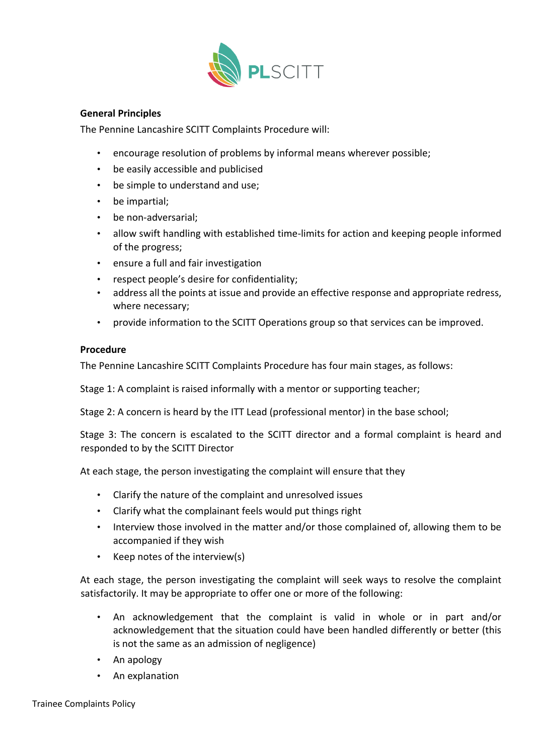

## **General Principles**

The Pennine Lancashire SCITT Complaints Procedure will:

- encourage resolution of problems by informal means wherever possible;
- be easily accessible and publicised
- be simple to understand and use;
- be impartial;
- be non-adversarial;
- allow swift handling with established time-limits for action and keeping people informed of the progress;
- ensure a full and fair investigation
- respect people's desire for confidentiality;
- address all the points at issue and provide an effective response and appropriate redress, where necessary;
- provide information to the SCITT Operations group so that services can be improved.

## **Procedure**

The Pennine Lancashire SCITT Complaints Procedure has four main stages, as follows:

Stage 1: A complaint is raised informally with a mentor or supporting teacher;

Stage 2: A concern is heard by the ITT Lead (professional mentor) in the base school;

Stage 3: The concern is escalated to the SCITT director and a formal complaint is heard and responded to by the SCITT Director

At each stage, the person investigating the complaint will ensure that they

- Clarify the nature of the complaint and unresolved issues
- Clarify what the complainant feels would put things right
- Interview those involved in the matter and/or those complained of, allowing them to be accompanied if they wish
- Keep notes of the interview(s)

At each stage, the person investigating the complaint will seek ways to resolve the complaint satisfactorily. It may be appropriate to offer one or more of the following:

- An acknowledgement that the complaint is valid in whole or in part and/or acknowledgement that the situation could have been handled differently or better (this is not the same as an admission of negligence)
- An apology
- An explanation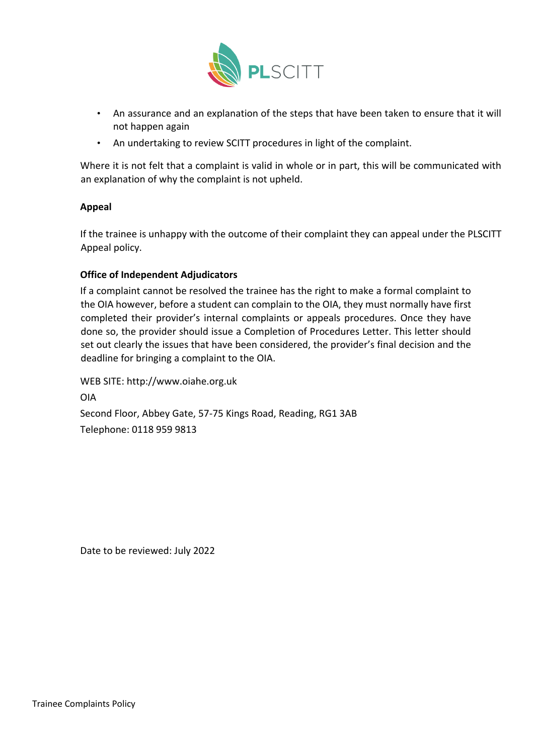

- An assurance and an explanation of the steps that have been taken to ensure that it will not happen again
- An undertaking to review SCITT procedures in light of the complaint.

Where it is not felt that a complaint is valid in whole or in part, this will be communicated with an explanation of why the complaint is not upheld.

# **Appeal**

If the trainee is unhappy with the outcome of their complaint they can appeal under the PLSCITT Appeal policy.

# **Office of Independent Adjudicators**

If a complaint cannot be resolved the trainee has the right to make a formal complaint to the OIA however, before a student can complain to the OIA, they must normally have first completed their provider's internal complaints or appeals procedures. Once they have done so, the provider should issue a Completion of Procedures Letter. This letter should set out clearly the issues that have been considered, the provider's final decision and the deadline for bringing a complaint to the OIA.

WEB SITE: http://www.oiahe.org.uk OIA Second Floor, Abbey Gate, 57-75 Kings Road, Reading, RG1 3AB Telephone: 0118 959 9813

Date to be reviewed: July 2022